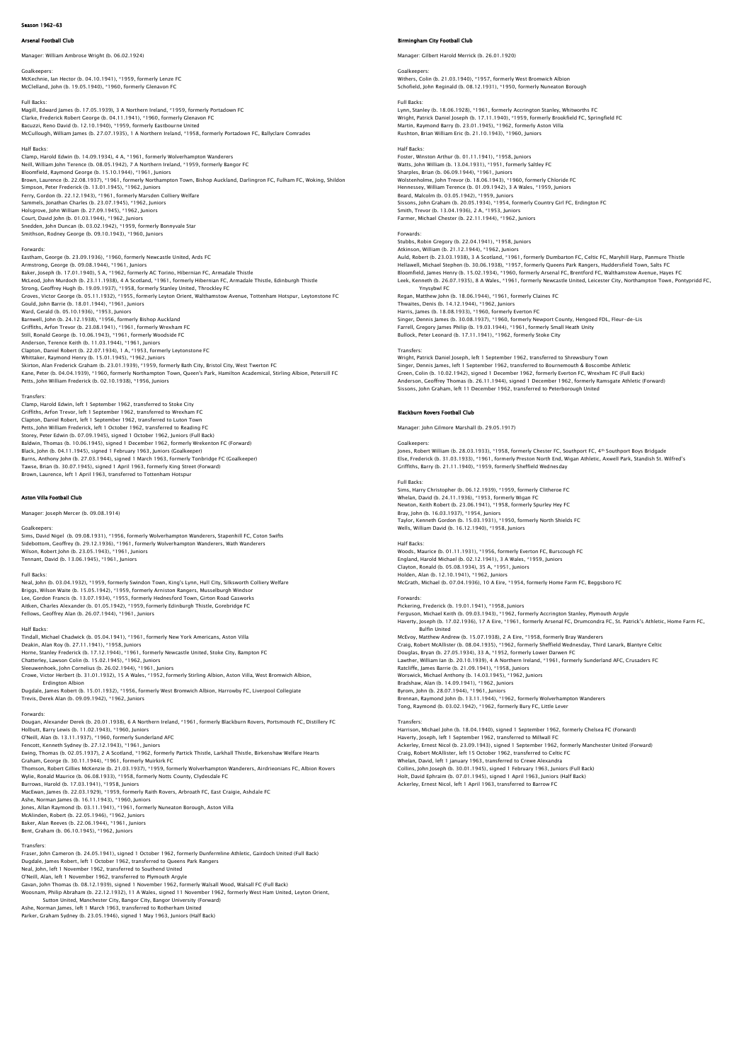# Season 1962-63

# .<br>Arsenal Club

# Manager: William Ambrose Wright (b. 06.02.1924)

Goalkeepers: McKechnie, Ian Hector (b. 04.10.1941), \*1959, formerly Lenze FC

McClelland, John (b. 19.05.1940), \*1960, formerly Glenavon FC Full Backs:

Magill, Edward James (b. 17.05.1939), 3 A Northern Ireland, \*1959, formerly Portadown FC<br>Clarke, Frederick Robert George (b. 04.11.1941), \*1960, formerly Glenavon FC<br>Bacuzzi, Reno David (b. 12.10.1940), \*1959, formerly Eas McCullough, William James (b. 27.07.1935), 1 A Northern Ireland, \*1958, formerly Portadown FC, Ballyclare Comrades

### Half Backs:

Clamp, Harold Edwin (b. 14.09.1934), 4 A, \*1961, formerly Wolverhampton Wanderers Neill, William John Terence (b. 08.05.1942), 7 A Northern Ireland, \*1959, formerly Bangor FC<br>Bloomfield, Raymond George (b. 15.10.1944), \*1961, Juniors<br>Brown, Laurence (b. 22.08.1937), \*1961, formerly Northampton Town, Bis Holsgrove, John William (b. 27.09.1945), \*1962, Juniors Court, David John (b. 01.03.1944), \*1962, Juniors Snedden, John Duncan (b. 03.02.1942), \*1959, formerly Bonnyvale Star Smithson, Rodney George (b. 09.10.1943), \*1960, Juniors

Fastham Cenroe (b. 23.09.1936). \*1960. formerly Newcastle United Ards FC Eastham, George (b. 23.09.1936), \*1960, formerly Newcastle United, Ards FC<br>Armstrong, George (b. 09.08.1944), \*1961, Juniors<br>Baker, Joseph (b. 17.01.1940), 5 A, \*1962, formerly AC Torino, Hibernian FC, Armadale Thistle<br>McL Gould, John Barrie (b. 18.01.1944), \*1961, Juniors<br>Ward, Gerald (b. 05.10.1936), \*1955, Juniors<br>Barnwell, John (b. 24.12.1938), \*1956, formerly Bishop Auckland<br>Griffiths, Arfon Trevor (b. 23.08.1941), \*1961, formerly Wrexh Kane, Peter (b. 04.04.1939), \*1960, formerly Northampton Town, Queen's Park, Hamilton Academical, Stirling Albion, Petersill FC<br>Petts, John William Frederick (b. 02.10.1938), \*1956, Juniors

### Transfers:

rransners.<br>Clamp, Harold Edwin, left 1 September 1962, transferred to Stoke City<br>Griffiths. Arfon Trevor. left 1 September 1962. transferred to Wrexham FC Griffiths, Arfon Trevor, left 1 September 1962, transferred to Wrexham FC<br>Clapton, Daniel Robert, left 1 September 1962, transferred to Luton Town<br>Petts, John William Frederick, left 1 October 1962, transferred to Reading Burns, Anthony John (b. 27.03.1944), signed 1 March 1963, formerly Tonbridge FC (Goalkeeper)<br>Tawse, Brian (b. 30.07.1945), signed 1 April 1963, formerly King Street (Forward)<br>Brown, Laurence, left 1 April 1963, transferred

### Aston Villa Football Club

Manager: Joseph Mercer (b. 09.08.1914)

### Goalkeepers

Sims, David Nigel (b. 09.08.1931), \*1956, formerly Wolverhampton Wanderers, Stapenhill FC, Coton Swifts<br>Sidebottom, Geoffrey (b. 29.12.1936), \*1961, formerly Wolverhampton Wanderers, Wath Wanderers<br>Wilson, Robert John (b.

### Full Backs:

Neal, John (b. 03.04.1932), \*1959, formerly Swindon Town, King's Lynn, Hull City, Silksworth Colliery Welfare<br>Briggs, Wilson Waite (b. 15.05.1942), \*1959, formerly Arniston Rangers, Musselburgh Windsor<br>Lee, Gordon Francis Fellows, Geoffrey Alan (b. 26.07.1944), \*1961, Juniors

Half Backs<br>Tindall, Michael Chadwick (b. 05.04.1941), \*1961, formerly New York Americans, Aston Villa<br>Deakin, Alan Roy (b. 27.11.1941), \*1958, Juniors<br>Horne, Stanley Frederick (b. 17.12.1944), \*1961, formerly Newcastle Uni Dugdale, James Robert (b. 15.01.1932), \*1956, formerly West Bromwich Albion, Harrowby FC, Liverpool Collegiate Trevis, Derek Alan (b. 09.09.1942), \*1962, Juniors

Forwards: Dougan, Alexander Derek (b. 20.01.1938), 6 A Northern Ireland, \*1961, formerly Blackburn Rovers, Portsmouth FC, Distillery FC Holbutt, Barry Lewis (b. 11.02.1943), \*1960, Juniors<br>CYbeill, Alan (b. 13.11.1937), \*1960, formerly Sunderland AFC<br>Fencott, Kenneth Sydney (b. 27.12.1943), \*1961, Juniors<br>Graham, George (b. 30.11.1944), \*1961, formerly Mui Thomson, Robert Gillies McKenzie (b. 21.03.1937), \*1959, formerly Wolverhampton Wanderers, Airdrieonians FC, Albion Rovers Wylie, Ronald Maurice (b. 06.08.1933), \*1958, formerly Notts County, Clydesdale FC Burrows, Harold (b. 17.03.1941), \*1958, Juniors<br>MacEwan, James (b. 22.03.1929), \*1959, formerly Raith Rovers, Arbroath FC, East Craigie, Ashdale FC<br>Ashe, Norman James (b. 16.11.1943), \*1960, Juniors<br>Jones, Allan Raymond (b McAlinden, Robert (b. 22.05.1946), \*1962, Juniors Baker, Alan Reeves (b. 22.06.1944), \*1961, Juniors Bent, Graham (b. 06.10.1945), \*1962, Juniors

### **Transfers**

Fraser, John Cameron (b. 24.05.1941), signed 1 October 1962, formerly Dunfermline Athletic, Gairdoch United (Full Back) Dugdale, James Robert, left 1 October 1962, transferred to Queens Park Rangers Neal, John, left 1 November 1962, transferred to Southend United<br>O'Neill, Alan, left 1 November 1962, transferred to Plymouth Argyle<br>Gavan, John Thomas (b. 08.12.1939), signed 1 November 1962, formerly Walsall Wood, Walsal

Sutton United, Manchester City, Bangor City, Bangor University (Forward) Ashe, Norman James, left 1 March 1963, transferred to Rotherham United Parker, Graham Sydney (b. 23.05.1946), signed 1 May 1963, Juniors (Half Back)

## Birmingham City Football Club

Manager: Gilbert Harold Merrick (b. 26.01.1920)

### Goalkeepers:

Withers, Colin (b. 21.03.1940), \*1957, formerly West Bromwich Albion Schofield, John Reginald (b. 08.12.1931), \*1950, formerly Nuneaton Borough

## Full Backs:

Lynn, Stanley (b. 18.06.1928), \*1961, formerly Accrington Stanley, Whitworths FC<br>Wright, Patrick Daniel Joseph (b. 17.11.1940), \*1959, formerly Brookfield FC, Springfield FC Martin, Raymond Barry (b. 23.01.1945), \*1962, formerly Aston Villa Rushton, Brian William Eric (b. 21.10.1943), \*1960, Juniors

# Half Backs:

Foster, Winston Arthur (b. 01.11.1941), \*1958, Juniors Watts, John William (b. 13.04.1931), \*1951, formerly Saltley FC<br>Sharples, Brian (b. 06.09.1944), \*1961, Juniors<br>Wolstenholme, John Trevor (b. 18.06.1943), \*1960, formerly Chloride FC<br>Hennessey, William Terence (b. 01.09.19 Smith, Trevor (b. 13.04.1936), 2 A, \*1953, Juniors Farmer, Michael Chester (b. 22.11.1944), \*1962, Juniors

Forwards:

Stubbs, Robin Gregory (b. 22.04.1941), \*1958, Juniors Atkinson, William (b. 21.12.1944), \*1962, Juniors Auld, Robert (b. 23.03.1938), 3 A Scotland, \*1961, formerly Dumbarton FC, Celtic FC, Maryhill Harp, Panmure Thistle Hellawell, Michael Stephen (b. 30.06.1938), \*1957, formerly Queens Park Rangers, Huddersfield Town, Salts FC<br>Bloomfield, James Henry (b. 15.02.1934), \*1960, formerly Arsenal FC, Brenford FC, Walthamstow Avenue, Hayes FC<br>Le Ynysybwl FC Regan, Matthew John (b. 18.06.1944), \*1961, formerly Claines FC Thwaites, Denis (b. 14.12.1944), \*1962, Juniors<br>Harris, James (b. 18.08.1933), \*1960, formerly Everton FC<br>Singer, Dennis James (b. 30.08.1937), \*1960, formerly Newport County, Hengoed FDL, Fleur-de-Lis<br>Farrell, Gregory Jam

Transfers:<br>Wright, Patrick Daniel Joseph, left 1 September 1962, transferred to Shrewsbury Town<br>Singer, Dennis James, left 1 September 1962, transferred to Bournemouth & Boscombe Athletic Green, Colin (b. 10.02.1942), signed 1 December 1962, formerly Everton FC, Wrexham FC (Full Back)<br>Anderson, Geoffrey Thomas (b. 26.11.1944), signed 1 December 1962, formerly Ramsgate Athletic (Forward)<br>Sissons, John Graham

### Blackburn Rovers Football Club

Manager: John Gilmore Marshall (b. 29.05.1917)

Bullock, Peter Leonard (b. 17.11.1941), \*1962, formerly Stoke City

### Goalkeepers

Jones, Robert William (b. 28.03.1933), \*1958, formerly Chester FC, Southport FC, 4th Southport Boys Bridgade Else, Frederick (b. 31.03.1933), \*1961, formerly Preston North End, Wigan Athletic, Axwell Park, Standish St. Wilfred's Griffiths, Barry (b. 21.11.1940), \*1959, formerly Sheffield Wednesday

### Full Backs: Sims, Harry Christopher (b. 06.12.1939), \*1959, formerly Clitheroe FC

Whelan, David (b. 24.11.1936), \*1953, formerly Wigan FC<br>Newton, Keith Robert (b. 23.06.1941), \*1958, formerly Spurley Hey FC<br>Bray, John (b. 16.03.1937), \*1954, Juniors<br>Taylor, Kenneth Gordon (b. 15.03.1931), \*1950, formerl Wells, William David (b. 16.12.1940), \*1958, Juniors

### Half Backs

Woods, Maurice (b. 01.11.1931), \*1956, formerly Everton FC, Burscough FC<br>England, Harold Michael (b. 02.12.1941), 3 A Wales, \*1959, Juniors<br>Clayton, Ronald (b. 05.08.1934), 35 A, \*1951, Juniors Holden, Alan (b. 12.10.1941), \*1962, Juniors McGrath, Michael (b. 07.04.1936), 10 A Eire, \*1954, formerly Home Farm FC, Beggsboro FC

# Forwards: Pickering, Frederick (b. 19.01.1941), \*1958, Juniors

Ferguson, Michael Keith (b. 09.03.1943), \*1962, formerly Accrington Stanley, Plymouth Argyle<br>Haverty, Joseph (b. 17.02.1936), 17 A Eire, \*1961, formerly Arsenal FC, Drumcondra FC, St. Patrick's Athletic, Home Farm FC,<br>McEv Douglas, Bryan (b. 27.05.1934), 33 A, \*1952, formerly Lower Darwen FC<br>Lawther, William Ian (b. 20.10.1939), 4 A Northern Ireland, \*1961, formerly Sunderland AFC, Crusaders FC<br>Ratcliffe, James Barrie (b. 21.09.1941), \*1958, Byrom, John (b. 28.07.1944), \*1961, Juniors Brennan, Raymond John (b. 13.11.1944), \*1962, formerly Wolverhampton Wanderers Tong, Raymond (b. 03.02.1942), \*1962, formerly Bury FC, Little Lever Transfers:

Harrison, Michael John (b. 18.04.1940), signed 1 September 1962, formerly Chelsea FC (Forward)<br>Haverty, Joseph, left 1 September 1962, transferred to Millwall FC<br>Ackerley, Ernest Nicol (b. 23.09.1943), signed 1 September 1 Collins, John Joseph (b. 30.01.1945), signed 1 February 1963, Juniors (Full Back) Holt, David Ephraim (b. 07.01.1945), signed 1 April 1963, Juniors (Half Back)<br>Ackerley, Ernest Nicol, Jeft 1 April 1963, transferred to Barrow EC

Ackerley, Ernest Nicol, left 1 April 1963, transferred to Ba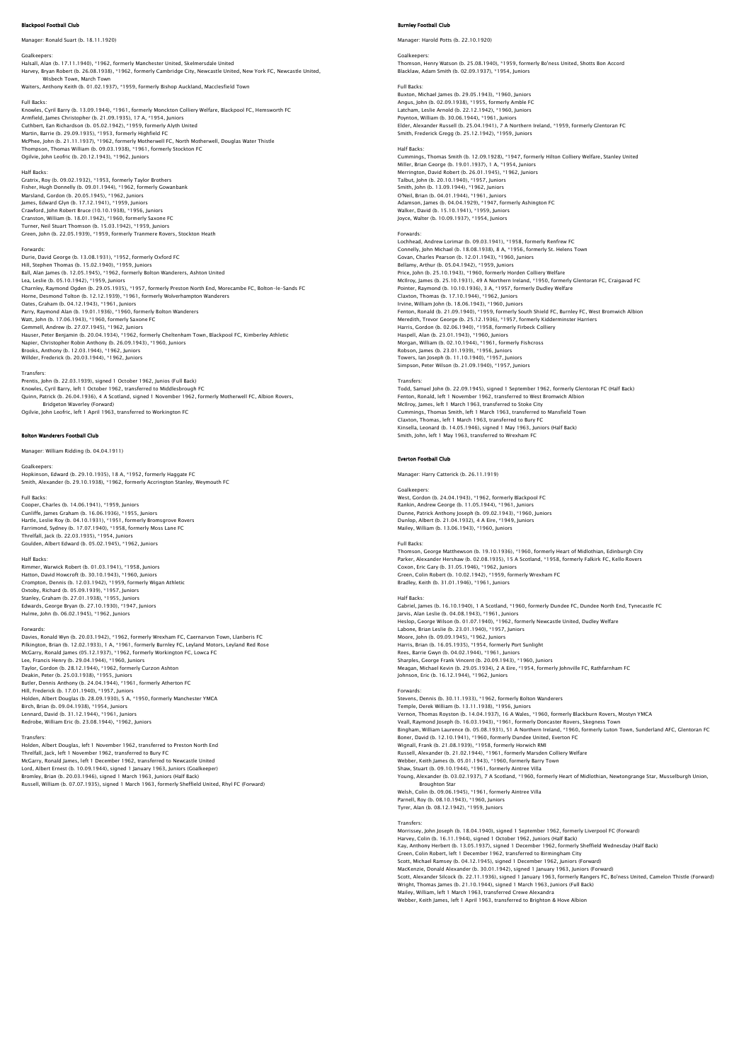## **bol Football Club**

Manager: Ronald Suart (b. 18.11.1920)

Goalkeepers: Halsall, Alan (b. 17.11.1940), \*1962, formerly Manchester United, Skelmersdale United Harvey, Bryan Robert (b. 26.08.1938), \*1962, formerly Cambridge City, Newcastle United, New York FC, Newcastle United, Wisbech Town, March Town Waiters, Anthony Keith (b. 01.02.1937), \*1959, formerly Bishop Auckland, Macclesfield Town

Full Backs:<br>Knowles, Cyril Barry (b. 13.09.1944), \*1961, formerly Monckton Colliery Welfare, Blackpool FC, Hemsworth FC<br>Armfield, James Christopher (b. 21.09.1935), 17 A, \*1954, Juniors<br>Cuthbert, Ean Richardson (b. 05.02.1

### Half Backs:

Gratrix, Roy (b. 09.02.1932), \*1953, formerly Taylor Brothers Fisher, Hugh Donnelly (b. 09.01.1944), \*1962, formerly Gowanbank Marsland, Gordon (b. 20.05.1945), \*1962, Juniors James, Edward Glyn (b. 17.12.1941), \*1959, Juniors Crawford, John Robert Bruce (10.10.1938), \*1956, Juniors Cranston, William (b. 18.01.1942), \*1960, formerly Saxone FC Turner, Neil Stuart Thomson (b. 15.03.1942), \*1959, Juniors Green, John (b. 22.05.1939), \*1959, formerly Tranmere Rovers, Stockton Heath

Forwards: Durie, David George (b. 13.08.1931), \*1952, formerly Oxford FC Hill, Stephen Thomas (b. 15.02.1940), \*1959, Juniors Ball, Alan James (b. 12.05.1945), \*1962, formerly Bolton Wanderers, Ashton United Lea, Leslie (b. 05.10.1942), \*1959, Juniors Charnley, Raymond Ogden (b. 29.05.1935), \*1957, formerly Preston North End, Morecambe FC, Bolton-le-Sands FC Horne, Desmond Tolton (b. 12.12.1939), \*1961, formerly Wolverhampton Wanderers Oates, Graham (b. 04.12.1943), \*1961, Juniors<br>Parry, Raymond Alan (b. 19.01.1936), \*1960, formerly Bolton Wanderers<br>Watt, John (b. 17.06.1943), \*1960, formerly Saxone FC<br>Gemmell, Andrew (b. 27.07.1945), \*1962, Juniors Hauser, Peter Benjamin (b. 20.04.1934), \*1962, formerly Cheltenham Town, Blackpool FC, Kimberley Athletic<br>Napier, Christopher Robin Anthony (b. 26.09.1943), \*1960, Juniors<br>Brooks, Anthony (b. 12.03.1944), \*1962, Juniors<br>Wi

Transfers:<br>Prentis, John (b. 22.03.1939), signed 1 October 1962, Junios (Full Back)<br>Knowles, Cyril Barry, left 1 October 1962, transferred to Middlesbrough FC<br>Quinn, Patrick (b. 26.04.1936), 4 A Scotland, signed 1 November Bridgeton Waverley (Forward) Ogilvie, John Leofric, left 1 April 1963, transferred to Workington FC

## Bolton Wanderers Football Club

Manager: William Ridding (b. 04.04.1911)

Goalkeepers: Hopkinson, Edward (b. 29.10.1935), 18 A, \*1952, formerly Haggate FC Smith, Alexander (b. 29.10.1938), \*1962, formerly Accrington Stanley, Weymouth FC

## Full Backs:

Cooper, Charles (b. 14.06.1941), \*1959, Juniors<br>Cunliffe, James Graham (b. 16.06.1936), \*1955, Juniors<br>Hartle, Leslie Roy (b. 04.10.1931), \*1951, formerly Bromsgrove Rovers<br>Farrimond, Sydney (b. 17.07.1940), \*1958, formerl Threlfall, Jack (b. 22.03.1935), \*1954, Juniors Goulden, Albert Edward (b. 05.02.1945), \*1962, Juniors

## Half Backs:

Rimmer, Warwick Robert (b. 01.03.1941), \*1958, Juniors Hatton, David Howcroft (b. 30.10.1943), \*1960, Juniors<br>Crompton, Dennis (b. 12.03.1942), \*1959, formerly Wigan Athletic<br>Oxtoby, Richard (b. 05.09.1939), \*1957, Juniors<br>Stanley, Graham (b. 27.10.1938), \*1955, Juniors<br>Edward Hulme, John (b. 06.02.1945), \*1962, Juniors

Forwards:<br>Davies, Ronald Wyn (b. 20.03.1942), \*1962, formerly Wrexham FC, Caernarvon Town, Llanberis FC<br>Pilkington, Brian (b. 12.02.1933), 1 A, \*1961, formerly Burnley FC, Leyland Motors, Leyland Red Rose McCarry, Ronald James (05.12.1937), \* 1962, formerly Workington FC, Lowca FC<br>Lee, Francis Henry (b. 29.04.1944), \*1960, Juniors<br>Taylor, Gordon (b. 28.12.1944), \*1962, formerly Curzon Ashton<br>Dealtin, Peter (b. 25.03.1938), Hill, Frederick (b. 17.01.1940), \*1957, Juniors Holden, Albert Douglas (b. 28.09.1930), 5 A, \*1950, formerly Manchester YMCA Birch, Brian (b. 09.04.1938), \*1954, Juniors Lennard, David (b. 31.12.1944), \*1961, Juniors Redrobe, William Eric (b. 23.08.1944), \*1962, Juniors

### Transfer

Holden, Albert Douglas, left 1 November 1962, transferred to Preston North End<br>Threlfall, Jack, left 1 November 1962, transferred to Bury FC<br>McGarry, Ronald James, left 1 December 1962, transferred to Newcastle United Lord, Albert Ernest (b. 10.09.1944), signed 1 January 1963, Juniors (Goalkeeper) Bromley, Brian (b. 20.03.1946), signed 1 March 1963, Juniors (Half Back) Russell, William (b. 07.07.1935), signed 1 March 1963, formerly Sheffield United, Rhyl FC (Forward)

## mley Football Club

Manager: Harold Potts (b. 22.10.1920)

Goalkeepers: Thomson, Henry Watson (b. 25.08.1940), \*1959, formerly Bo'ness United, Shotts Bon Accord Blacklaw, Adam Smith (b. 02.09.1937), \*1954, Juniors

## Full Backs:

Buxton, Michael James (b. 29.05.1943), \*1960, Juniors Angus, John (b. 02.09.1938), \*1955, formerly Amble FC Latcham, Leslie Arnold (b. 22.12.1942), \*1960, Juniors

Poynton, William (b. 30.06.1944), \*1961, Juniors

Elder, Alexander Russell (b. 25.04.1941), 7 A Northern Ireland, \*1959, formerly Glentoran FC Smith, Frederick Gregg (b. 25.12.1942), \*1959, Juniors

Half Backs:<br>Cummings, Thomas Smith (b. 12.09.1928), \*1947, formerly Hilton Colliery Welfare, Stanley United<br>Miller, Brian George (b. 19.01.1937), 1 A, \*1954, Juniors<br>Merrington, David Robert (b. 26.01.1945), \*1962, Juniors O'Neil, Brian (b. 04.01.1944), \*1961, Juniors Adamson, James (b. 04.04.1929), \*1947, formerly Ashington FC Walker, David (b. 15.10.1941), \*1959, Juniors Joyce, Walter (b. 10.09.1937), \*1954, Juniors

### Forwards:

Lochhead, Andrew Lorimar (b. 09.03.1941), \*1958, formerly Renfrew FC Connelly, John Michael (b. 18.08.1938), 8 A, \*1956, formerly St. Helens Town Govan, Charles Pearson (b. 12.01.1943), \*1960, Juniors Bellamy, Arthur (b. 05.04.1942), \*1959, Juniors<br>Price, John (b. 25.10.1943), \*1960, formerly Horden Colliery Welfare<br>McIlroy, James (b. 25.10.1931), 49 A Northern Ireland, \*1950, formerly Glentoran FC, Craigavad FC Pointer, Raymond (b. 10.10.1936), 3 A, \*1957, formerly Dudley Welfare<br>Clayton, Thomas (b. 17.10.1944), \*1962, Juniors Claxton, Thomas (b. 17.10.1944), \*1962, Juniors<br>Irvine, William John (b. 18.06.1943), \*1960, Juniors<br>Fenton, Ronald (b. 21.09.1940), \*1959, formerly South Shield FC, Burnley FC, West Bromwich Albion<br>Meredith, Trevor George Morgan, William (b. 02.10.1944), \*1961, formerly Fishcross<br>Robson, James (b. 23.01.1939), \*1956, Juniors<br>Towers, Ian Joseph (b. 11.10.1940), \*1957, Juniors<br>Simpson, Peter Wilson (b. 21.09.1940), \*1957, Juniors

Transfers:<br>Todd, Samuel John (b. 22.09.1945), signed 1 September 1962, formerly Glentoran FC (Half Back)<br>Fenton, Ronald, left 1 November 1962, transferred to West Bromwich Albion<br>McIlroy, James, left 1 March 1963, transfer Cummings, Thomas Smith, left 1 March 1963, transferred to Mansfield Town Claxton, Thomas, left 1 March 1963, transferred to Bury FC Kinsella, Leonard (b. 14.05.1946), signed 1 May 1963, Juniors (Half Back) Smith, John, left 1 May 1963, transferred to Wrexham FC

### Everton Football Club

Manager: Harry Catterick (b. 26.11.1919)

## Goalkeepers:

West, Gordon (b. 24.04.1943), \*1962, formerly Blackpool FC<br>Rankin, Andrew George (b. 11.05.1944), \*1961, Juniors<br>Dunne, Patrick Anthony Joseph (b. 09.02.1943), \*1960, Juniors<br>Dunlop, Albert (b. 21.04.1932), 4 A Eire, \*1949 Mailey, William (b. 13.06.1943), \*1960, Juniors

## Full Backs:

Thomson, George Matthewson (b. 19.10.1936), \*1960, formerly Heart of Midlothian, Edinburgh City<br>Parker, Alexander Hershaw (b. 02.08.1935), 15 A Scotland, \*1958, formerly Falkirk FC, Kello Rovers<br>Coxon, Eric Gary (b. 31.05. Green, Colin Robert (b. 10.02.1942), \*1959, formerly Wrexham FC Bradley, Keith (b. 31.01.1946), \*1961, Juniors

## Half Backs:

Gabriel, James (b. 16.10.1940), 1 A Scotland, \*1960, formerly Dundee FC, Dundee North End, Tynecastle FC Jarvis, Alan Leslie (b. 04.08.1943), \*1961, Juniors Heslop, George Wilson (b. 01.07.1940), \*1962, formerly Newcastle United, Dudley Welfare<br>Labone, Brian Leslie (b. 23.01.1940), \*1957, Juniors<br>Moore, John (b. 09.03.1945), \*1962, Juniors<br>Harris, Brian (b. 16.05.1935), \*1954, Rees, Barrie Gwyn (b. 04.02.1944), \*1961, Juniors<br>Sharples, George Frank Vincent (b. 20.09.1943), \*1960, Juniors<br>Meagan, Michael Kevin (b. 29.05.1934), 2 A Eire, \*1954, formerly Johnville FC, Rathfarnham FC<br>Johnson, Eric (

### Forwards:

Stevens, Dennis (b. 30.11.1933), \*1962, formerly Bolton Wanderers Temple, Derek William (b. 13.11.1938), \*1956, Juniors<br>Vernon, Thomas Royston (b. 14.04.1937), 16 A Wales, \*1960, formerly Blackburn Rovers, Mostyn YMCA<br>Veall, Raymond Joseph (b. 16.03.1943), \*1961, formerly Doncaster Rover Bingham, William Laurence (b. 05.08.1931), 51 A Northern Ireland, \*1960, formerly Luton Town, Sunderland AFC, Glentoran FC Boner, David (b. 12.10.1941), \*1960, formerly Dundee United, Everton FC<br>Wignall, Frank (b. 21.08.1939), \*1958, formerly Horwich RMI<br>Russell, Alexander (b. 21.02.1944), \*1961, formerly Marsden Colliery Welfare<br>Webber, Keith Shaw, Stuart (b. 09.10.1944), \*1961, formerly Aintree Villa Young, Alexander (b. 03.02.1937), 7 A Scotland, \*1960, formerly Heart of Midlothian, Newtongrange Star, Musselburgh Union, Broughton Star Welsh, Colin (b. 09.06.1945), \*1961, formerly Aintree Villa Parnell, Roy (b. 08.10.1943), \*1960, Juniors Tyrer, Alan (b. 08.12.1942), \*1959, Juniors

## **Transfer**

Morrissey, John Joseph (b. 18.04.1940), signed 1 September 1962, formerly Liverpool FC (Forward)<br>Harvey, Colin (b. 16.11.1944), signed 1 October 1962, Juniors (Half Back)<br>Kay, Anthony Herbert (b. 13.05.1937), signed 1 Dece Green, Colin Robert, left 1 December 1962, transferred to Birmingham City Scott, Michael Ramsey (b. 04.12.1945), signed 1 December 1962, Juniors (Forward)<br>MacKenzie, Donald Alexander (b. 30.01.1942), signed 1 January 1963, Juniors (Forward)<br>Scott, Alexander Silcock (b. 22.11.1.936), signed 1 Jan Mailey, William, left 1 March 1963, transferred Crewe Alexandra Webber, Keith James, left 1 April 1963, transferred to Brighton & Hove Albion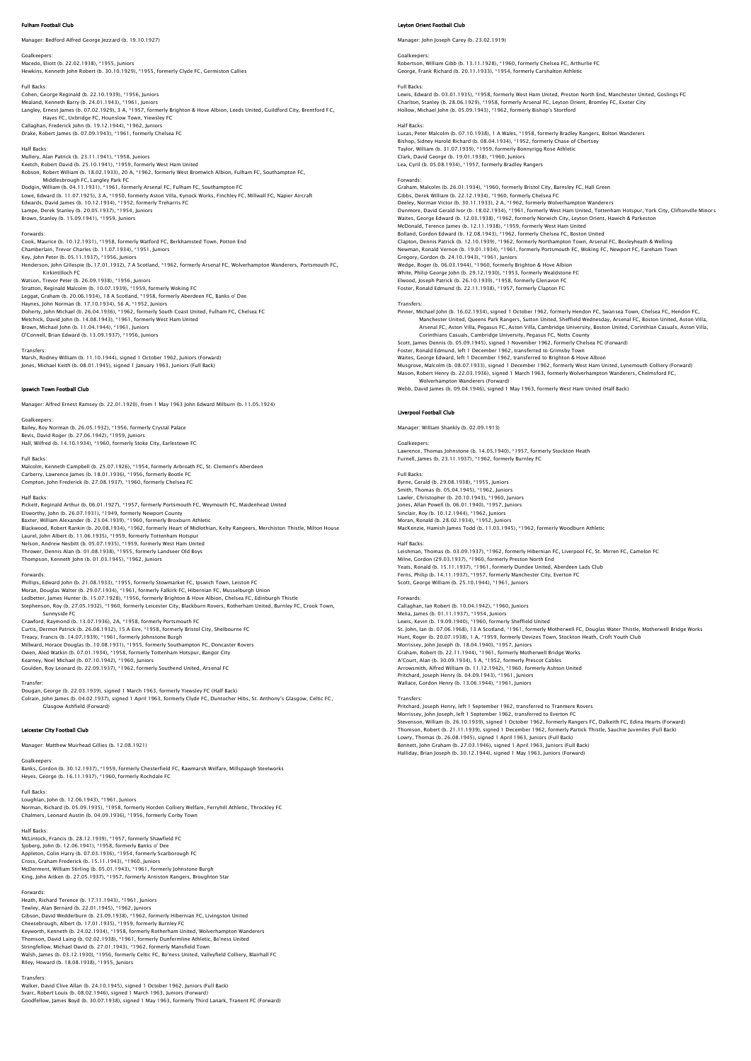## ham Football Club

Manager: Bedford Alfred George Jezzard (b. 19.10.1927)

Goalkeepers: Macedo, Eliott (b. 22.02.1938), \*1955, Juniors Hewkins, Kenneth John Robert (b. 30.10.1929), \*1955, formerly Clyde FC, Germiston Callies

## Full Backs:

Cohen, George Reginald (b. 22.10.1939), \*1956, Juniors<br>Mealand, Kenneth Barry (b. 24.01.1943), \*1961, Juniors<br>Langley, Ernest James (b. 07.02.1929), 3 A, \*1957, formerly Brighton & Hove Albion, Leeds United, Guildford City Callaghan, Frederick John (b. 19.12.1944), \*1962, Juniors Drake, Robert James (b. 07.09.1943), \*1961, formerly Chelsea FC

### Half Backs:

Mullery, Alan Patrick (b. 23.11.1941), \*1958, Juniors Keetch, Robert David (b. 25.10.1941), \*1959, formerly West Ham United<br>Robson, Robert William (b. 18.02.1933), 20.4. \*1962, formerly West Rromwich Albion, Fulham FC, Southampton FC Robson, Robert William (b. 18.02.1933), 20 A, \*1962, formerly West Bromwich Albion, Fulham FC, Southampton FC,<br>Middlesbrough FC, Langley Park FC<br>Dodgin, William (b. 04.11.1931), \*1961, formerly Arsenal FC, Fulham FC, South Brown, Stanley (b. 15.09.1941), \*1959, Juniors

### Forwards:

Cook, Maurice (b. 10.12.1931), \*1958, formerly Watford FC, Berkhamsted Town, Potton End Chamberlain, Trevor Charles (b. 11.07.1934), \*1951, Juniors Key, John Peter (b. 05.11.1937), \*1956, Juniors Henderson, John Gillespie (b. 17.01.1932), 7 A Scotland, \*1962, formerly Arsenal FC, Wolverhampton Wanderers, Portsmouth FC, Kirkintilloch FC Watson, Trevor Peter (b. 26.09.1938), \*1956, Juniors Stratton, Reginald Malcolm (b. 10.07.1939), \*1959, formerly Woking FC Leggat, Graham (b. 20.06.1934), 18 A Scotland, \*1958, formerly Aberdeen FC, Banks o' Dee Haynes, John Norman (b. 17.10.1934), 56 A, \*1952, Juniors<br>Doherty, John Michael (b. 26.04.1936), \*1962, formerly South Coast United, Fulham FC, Chelsea FC<br>Metchick, David John (b. 14.08.1943), \*1961, formerly West Ham Unit O'Connell, Brian Edward (b. 13.09.1937), \*1956, Juniors

Transfers:<br>Marsh, Rodney William (b. 11.10.1944), signed 1 October 1962, Juniors (Forward)<br>Jones, Michael Keith (b. 08.01.1945), signed 1 January 1963, Juniors (Full Back)

## Ipswich Town Football Club

Manager: Alfred Ernest Ramsey (b. 22.01.1920), from 1 May 1963 John Edward Milburn (b. 11.05.1924)

Goalkeepers: Bailey, Roy Norman (b. 26.05.1932), \*1956, formerly Crystal Palace Bevis, David Roger (b. 27.06.1942), \*1959, Juniors Hall, Wilfred (b. 14.10.1934), \*1960, formerly Stoke City, Earlestown FC

Full Back

Malcolm, Kenneth Campbell (b. 25.07.1926), \*1954, formerly Arbroath FC, St. Clement's Aberdeen<br>Carberry, Lawrence James (b. 18.01.1936), \*1956, formerly Bootle FC<br>Compton, John Frederick (b. 27.08.1937), \*1960, formerly Ch

Half Backs<br>Pickett, Reginald Arthur (b. 06.01.1927), \*1957, formerly Portsmouth FC, Weymouth FC, Maidenhead United<br>Elsworthy, John (b. 26.07.1931), \*1949, formerly Newport County<br>Backer, William Alexander (b. 23.04.1939), Laurel, John Albert (b. 11.06.1935), \*1959, formerly Tottenham Hotspur<br>Nelson, Andrew Nesbitt (b. 05.07.1935), \*1959, formerly West Ham United<br>Thrower, Dennis Alan (b. 01.08.1938), \*1955, formerly Landseer Old Boys<br>Thompso

## Forwards:

Phillips, Edward John (b. 21.08.1933), \*1955, formerly Stowmarket FC, Ipswich Town, Leiston FC<br>Moran, Douglas Walter (b. 29.07.1934), \*1961, formerly Falkirk FC, Hibernian FC, Musselburgh Union<br>Ledbetter, James Hunter (b. Sunnyside FC Crawford, Raymond (b. 13.07.1936), 2A, \*1958, formerly Portsmouth FC<br>Curtis, Dermot Patrick (b. 26.08.1932), 15 A Eire, \*1958, formerly Bristol City, Shelbourne FC<br>Treacy, Francis (b. 14.07.1939), \*1961, formerly Johnstone

Owen, Aled Watkin (b. 07.01.1934), \*1958, formerly Tottenham Hotspur, Bangor City<br>Kearney, Noel Michael (b. 07.10.1942), \*1960, Juniors<br>Goulden, Roy Leonard (b. 22.09.1937), \*1962, formerly Southend United, Arsenal FC

Transfer:<br>Dougan, George (b. 22.03.1939), signed 1 March 1963, formerly Yiewsley FC (Half Back)<br>Colrain, John James (b. 04.02.1937), signed 1 April 1963, formerly Clyde FC, Duntocher Hibs, St. Anthony's Glasgow, Celtic FC,

## Leicester City Football Club

Manager: Matthew Muirhead Gillies (b. 12.08.1921)

## Goalkeepers:

Banks, Gordon (b. 30.12.1937), \*1959, formerly Chesterfield FC, Rawmarsh Welfare, Millspaugh Steelworks Heyes, George (b. 16.11.1937), \*1960, formerly Rochdale FC

Full Backs: Loughlan, John (b. 12.06.1943), \*1961, Juniors Norman, Richard (b. 05.09.1935), \*1958, formerly Horden Colliery Welfare, Ferryhill Athletic, Throckley FC Chalmers, Leonard Austin (b. 04.09.1936), \*1956, formerly Corby Town

### Half Backs:

McLintock, Francis (b. 28.12.1939), \*1957, formerly Shawfield FC Sjoberg, John (b. 12.06.1941), \*1958, formerly Banks o' Dee Appleton, Colin Harry (b. 07.03.1936), \*1954, formerly Scarborough FC Cross, Graham Frederick (b. 15.11.1943), \*1960, Juniors McDerment, William Stirling (b. 05.01.1943), \*1961, formerly Johnstone Burgh King, John Aitken (b. 27.05.1937), \*1957, formerly Arniston Rangers, Broughton Star

## Forwards:

Heath, Richard Terence (b. 17.11.1943), \*1961, Juniors Tewley, Alan Bernard (b. 22.01.1945), \*1962, Juniors<br>Gibson, David Wedderburn (b. 23.09.1938), \*1962, formerly Hibernian FC, Livingston United<br>Cheesebrough, Albert (b. 17.01.1935), \*1959, formerly Burnley FC Keyworth, Kenneth (b. 24.02.1934), \*1958, formerly Rotherham United, Wolverhampton Wanderers Thomson, David Laing (b. 02.02.1938), \*1961, formerly Dunfermline Athletic, Bo'ness United Stringfellow, Michael David (b. 27.01.1943), \*1962, formerly Mansfield Town Walsh, James (b. 03.12.1930), \*1956, formerly Celtic FC, Bo'ness United, Valleyfield Colliery, Blairhall FC Riley, Howard (b. 18.08.1938), \*1955, Juniors

### Transfers:

Walker, David Clive Allan (b. 24.10.1945), signed 1 October 1962, Juniors (Full Back) Svarc, Robert Louis (b. 08.02.1946), signed 1 March 1963, Juniors (Forward) Goodfellow, James Boyd (b. 30.07.1938), signed 1 May 1963, formerly Third Lanark, Tranent FC (Forward)

## Leyton Orient Football Club

Manager: John Joseph Carey (b. 23.02.1919)

Goalkeepers:<br>Robertson, William Gibb (b. 13.11.1928), \*1960, formerly Chelsea FC, Arthurlie FC<br>George, Frank Richard (b. 20.11.1933), \*1954, formerly Carshalton Athletic

## Full Backs:

Lewis, Edward (b. 03.01.1935), \*1958, formerly West Ham United, Preston North End, Manchester United, Goslings FC<br>Charlton, Stanley (b. 28.06.1929), \*1958, formerly Arsenal FC, Leyton Orient, Bromley FC, Exeter City<br>Hollow Half Backs:

Lucas, Peter Malcolm (b. 07.10.1938), 1 A Wales, \*1958, formerly Bradley Rangers, Bolton Wanderers<br>Bishop, Sidney Harold Richard (b. 08.04.1934), \*1952, formerly Chase of Chertsey<br>Taylor, William (b. 31.07.1939), \*1959, fo Clark, David George (b. 19.01.1938), \*1960, Juniors Lea, Cyril (b. 05.08.1934), \*1957, formerly Bradley Rangers

## Forwards:

Graham, Malcolm (b. 26.01.1934), \*1960, formerly Bristol City, Barnsley FC, Hall Green Gibbs, Derek William (b. 22.12.1934), \*1960, formerly Chelsea FC Deeley, Norman Victor (b. 30.11.1933), 2 A, \*1962, formerly Wolverhampton Wanderers Dunmore, David Gerald Ivor (b. 18.02.1934), \*1961, formerly West Ham United, Tottenham Hotspur, York City, Cliftonville Minors Waites, George Edward (b. 12.03.1938), \*1962, formerly Norwich City, Leyton Orient, Hawich & Parkeston<br>McDonald, Terence James (b. 12.11.1938), \*1959, formerly West Ham United<br>Bolland, Gordon Edward (b. 12.08.1943), \*1962, Newman, Ronald Vernon (b. 19.01.1934), \*1961, formerly Portsmouth FC, Woking FC, Newport FC, Fareham Town Gregory, Gordon (b. 24.10.1943), \*1961, Juniors Wedge, Roger (b. 06.03.1944), \*1960, formerly Brighton & Hove Albion<br>White, Philip George John (b. 29.12.1930), \*1953, formerly Wealdstone FC<br>Elwood, Joseph Patrick (b. 26.10.1939), \*1958, formerly Glenavon FC<br>Foster, Rona

Transfers:<br>
Pinner, Michael John (b. 16.02.1934), signed 1 October 1962, formerly Hendon FC, Swansea Town, Chelsea FC, Hendon FC,<br>
Manchester United, Queens Park Rangers, Sutton United, Sheffield Wednesday, Arsenal FC, Bos

Mason, Robert Henry (b. 22.03.1936), signed 1 March 1963, formerly Wolverhampton Wanderers, Chelmsford FC,<br>Wolverhampton Wanderers (Forward)<br>Webb, David James (b. 09.04.1946), signed 1 May 1963, formerly West Ham United (H

### Liverpool Football Club

Manager: William Shankly (b. 02.09.1913)

Goalkeepers: Lawrence, Thomas Johnstone (b. 14.05.1940), \*1957, formerly Stockton Heath Furnell, James (b. 23.11.1937), \*1962, formerly Burnley FC

Full Backs: Byrne, Gerald (b. 29.08.1938), \*1955, Juniors Smith, Thomas (b. 05.04.1945), \*1962, Juniors Lawler, Christopher (b. 20.10.1943), \*1960, Juniors<br>Jones, Allan Powell (b. 06.01.1940), \*1957, Juniors<br>Sinclair, Roy (b. 10.12.1944), \*1962, Juniors<br>Moran, Ronald (b. 28.02.1934), \*1952, Juniors MacKenzie, Hamish James Todd (b. 11.03.1945), \*1962, formerly Woodburn Athletic

Half Backs:<br>Leishman, Thomas (b. 03.09.1937), \*1962, formerly Hibernian FC, Liverpool FC, St. Mirren FC, Camelon FC<br>Milne, Gordon (29.03.1937), \*1960, formerly Preston North End<br>Yeats, Ronald (b. 15.11.1937), \*1961, former

Forwards: Callaghan, Ian Robert (b. 10.04.1942), \*1960, Juniors Melia, James (b. 01.11.1937), \*1954, Juniors<br>Lewis, Kevin (b. 19.03.1940), \*1950, formerly Sheffield United<br>St. John, Ian (b. 07.06.1968), 13 A Scotland, \*1961, formerly Motherwell FC, Douglas Water Thistle, Motherwell Bri Graham, Robert (b. 22.1.1.1944), \*1961, formerly Mothewell Bridge Works<br>A'Court, Alan (b. 30.09.1934), 5 A, \*1952, formerly Prescot Cables<br>Arrowsmith, Alfred William (b. 11.12.1942), \*1960, formerly Ashton United<br>Pritchard

**Transfer** 

Pritchard, Joseph Henry, left 1 September 1962, transferred to Tranmere Rovers<br>Morrissey, John Joseph, left 1 September 1962, transferred to Everton FC<br>Stevenson, William (b. 26.10.1939), signed 1 October 1962, formerly Ra Thomson, Robert (b. 21.11.1939), signed 1 December 1962, formerly Partick Thistle, Sauchie Juveniles (Full Back)<br>Lowry, Thomas (b. 26.08.1945), signed 1 April 1963, Juniors (Full Back)<br>Bennett, John Craham (b. 27.03.1946),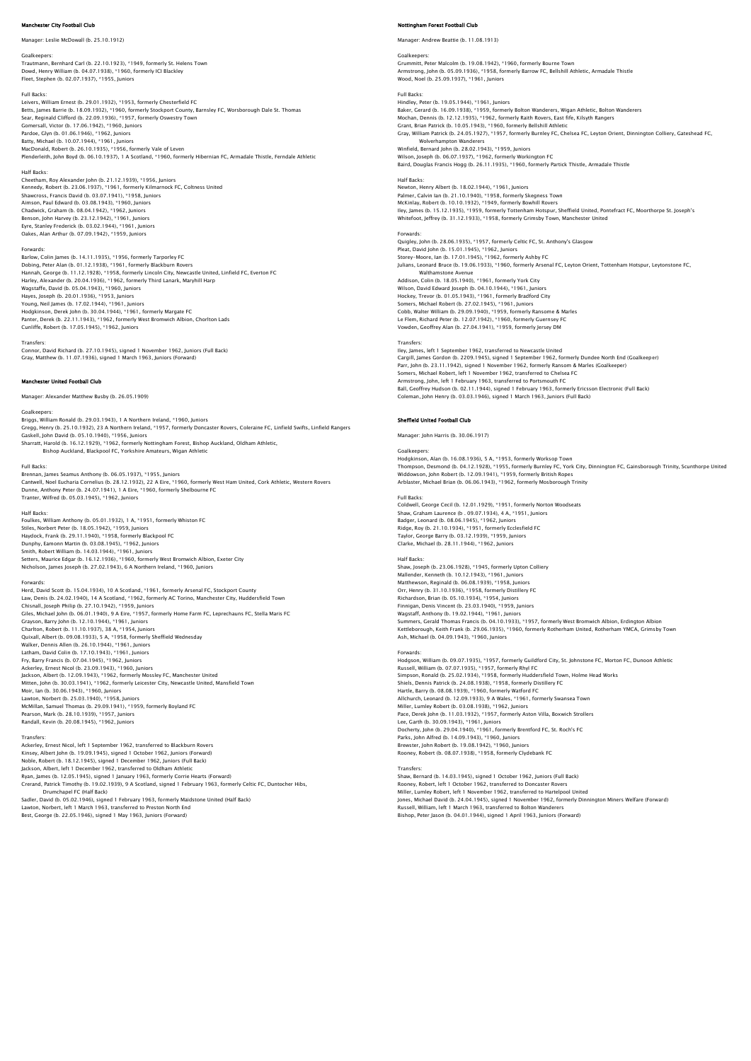## **ester City Football Club**

### Manager: Leslie McDowall (b. 25.10.1912)

Goalkeepers: Trautmann, Bernhard Carl (b. 22.10.1923), \*1949, formerly St. Helens Town Dowd, Henry William (b. 04.07.1938), \*1960, formerly ICI Blackley Fleet, Stephen (b. 02.07.1937), \*1955, Juniors

## Full Backs:

Leivers, William Ernest (b. 29.01.1932), \*1953, formerly Chesterfield FC Betts, James Barrie (b. 18.09.1932), \*1960, formerly Stockport County, Barnsley FC, Worsborough Dale St. Thomas<br>Sear, Reginald Clifford (b. 22.09.1936), \*1957, formerly Oswestry Town Gomersall, Victor (b. 17.06.1942), \*1960, Juniors Pardoe, Glyn (b. 01.06.1946), \*1962, Juniors<br>Batty, Michael (b. 10.07.1944), \*1961, Juniors<br>MacDonald, Robert (b. 26.10.1935), \*1956, formerly Vale of Leven<br>Plenderleith, John Boyd (b. 06.10.1937), 1 A Scotland, \*1960, for

## Half Backs:

Cheetham, Roy Alexander John (b. 21.12.1939), \*1956, Juniors<br>Kennedy, Robert (b. 23.06.1937), \*1961, formerly Kilmarnock FC, Coltness United<br>Shawcross, Francis David (b. 03.07.1941), \*1958, Juniors Aimson, Paul Edward (b. 03.08.1943), \*1960, Juniors Chadwick, Graham (b. 08.04.1942), \*1962, Juniors Benson, John Harvey (b. 23.12.1942), \*1961, Juniors Eyre, Stanley Frederick (b. 03.02.1944), \*1961, Juniors Oakes, Alan Arthur (b. 07.09.1942), \*1959, Juniors

### Forwards:

Barlow, Colin James (b. 14.11.1935), \*1956, formerly Tarporley FC Dobing, Peter Alan (b. 01.12.1938), \*1961, formerly Blackburn Rovers<br>Hannah, George (b. 11.12.1928), \*1958, formerly Lincoln City, Newcastle United, Linfield FC, Everton FC<br>Harley, Alexander (b. 20.04.1936), \*1962, formerl Wagstaffe, David (b. 05.04.1943), \*1960, Juniors Hayes, Joseph (b. 20.01.1936), \*1953, Juniors Young, Neil James (b. 17.02.1944), \*1961, Juniors<br>Hodgkinson, Derek John (b. 30.04.1944), \*1961, formerly Margate FC<br>Panter, Derek (b. 22.11.1943), \*1962, formerly West Bromwich Albion, Choriton Lads<br>Cunliffe, Robert (b. 1

Transfers:<br>Connor, David Richard (b. 27.10.1945), signed 1 November 1962, Juniors (Full Back)<br>Gray, Matthew (b. 11.07.1936), signed 1 March 1963, Juniors (Forward)

## ester United Football Club

Manager: Alexander Matthew Busby (b. 26.05.1909)

Goalkeepers:<br>Briggs, William Ronald (b. 29.03.1943), 1 A Northern Ireland, \*1960, Juniors<br>Gregg, Henry (b. 25.10.1932), 23 A Northern Ireland, \*1957, formerly Doncaster Rovers, Coleraine FC, Linfield Swifts, Linfield Range

Fuil Backs:<br>Brennan, James Seamus Anthony (b. 06.05.1937), \*1955, Juniors<br>Cannvell, Noel Eucharia Cornelius (b. 28.12.1932), 22 A Eire, \*1960, formerly West Ham United, Cork Athletic, Western Rovers<br>Cannvel, Anthony Peter Tranter, Wilfred (b. 05.03.1945), \*1962, Juniors

Half Backs: Foulkes, William Anthony (b. 05.01.1932), 1 A, \*1951, formerly Whiston FC Stiles, Norbert Peter (b. 18.05.1942), \*1959, Juniors Haydock, Frank (b. 29.11.1940), \*1958, formerly Blackpool FC<br>Dunphy, Eamonn Martin (b. 03.08.1945), \*1962, Juniors<br>Smith, Robert William (b. 14.03.1944), \*1961, Juniors<br>Settes, Maurice Edgar (b. 16.12.1936), \*1960, formerl

Forwards:<br>Herd, David Scott (b. 15.04.1934), 10 A Scotland, \*1961, formerly Arsenal FC, Stockport County<br>Law, Denis (b. 24.02.1940), 14 A Scotland, \*1962, formerly AC Torino, Manchester City, Huddersfield Town<br>Chisnall, Jo Giles, Michael John (b. 06.01.1940), 9 A Eire, \*1957, formerly Home Farm FC, Leprechauns FC, Stella Maris FC<br>Grayson, Barry John (b. 12.1.0.1944), \*1961, Juniors<br>Charlton, Robert (b. 11.10.1937), 38 A, \*1954, Juniors<br>Quixa Latham, David Colin (b. 17.10.1943), \*1961, Juniors<br>Fry, Barry Francis (b. 07.04.1945), \*1962, Juniors<br>Ackerley, Ernest Nicol (b. 23.09.1943), \*1960, Juniors<br>Jackson, Albert (b. 12.09.1943), \*1962, formerly Leicester City, Moir, Ian (b. 30.06.1943), \*1960, Juniors Lawton, Norbert (b. 25.03.1940), \*1958, Juniors McMillan, Samuel Thomas (b. 29.09.1941), \*1959, formerly Boyland FC Pearson, Mark (b. 28.10.1939), \*1957, Juniors Randall, Kevin (b. 20.08.1945), \*1962, Juniors

## **Transfers**

Ackerley, Ernest Nicol, left 1 September 1962, transferred to Blackburn Rovers<br>Kinsey, Albert John (b. 19.09.1945), signed 1 October 1962, Juniors (Forward)<br>Noble, Robert (b. 18.12.1945), signed 1 December 1962, Juniors (F Jackson, Albert, left 1 December 1962, transferred to Oldham Athletic Ryan, James (b. 12.05.1945), signed 1 January 1963, formerly Corrie Hearts (Forward)<br>Crerand, Patrick Timothy (b. 19.02.1939), 9 A Scotland, signed 1 February 1963, formerly Celtic FC, Duntocher Hibs,<br>Drumchapel FC (Half B Lawton, Norbert, left 1 March 1963, transferred to Preston North End Best, George (b. 22.05.1946), signed 1 May 1963, Juniors (Forward)

## oham Forest Football Club

Manager: Andrew Beattie (b. 11.08.1913)

Goalkeepers: Grummitt, Peter Malcolm (b. 19.08.1942), \*1960, formerly Bourne Town Armstrong, John (b. 05.09.1936), \*1958, formerly Barrow FC, Bellshill Athletic, Armadale Thistle Wood, Noel (b. 25.09.1937), \*1961, Juniors Full Backs: Hindley, Peter (b. 19.05.1944), \*1961, Juniors Baker, Gerard (b. 16.09.1938), \*1959, formerly Bolton Wanderers, Wigan Athletic, Bolton Wanderers Mochan, Dennis (b. 12.12.1935), \*1962, formerly Raith Rovers, East fife, Kilsyth Rangers Grant, Brian Patrick (b. 10.05.1943), \*1960, formerly Bellshill Athletic Gray, William Patrick (b. 24.05.1927), \*1957, formerly Burnley FC, Chelsea FC, Leyton Orient, Dinnington Colliery, Gateshead FC, Wolverhampton Wanderers Winfield, Bernard John (b. 28.02.1943), \*1959, Juniors Wilson, Joseph (b. 06.07.1937), \*1962, formerly Workington FC Baird, Douglas Francis Hogg (b. 26.11.1935), \*1960, formerly Partick Thistle, Armadale Thistle Half Backs:<br>Newton, Henry Albert (b. 18.02.1944), \*1961, Juniors<br>Palmer, Calvin Ian (b. 21.10.1932), \*19588, formerly Skegness Town<br>McKinlay, Robert (b. 10.10.1932), \*1949, formerly Bowhill Rovers Iley, James (b. 15.12.1935), \*1959, formerly Tottenham Hotspur, Sheffield United, Pontefract FC, Moorthorpe St. Joseph's Whitefoot, Jeffrey (b. 31.12.1933), \*1958, formerly Grimsby Town, Manchester United Forwards: Quigley, John (b. 28.06.1935), \*1957, formerly Celtic FC, St. Anthony's Glasgow Pleat, David John (b. 15.01.1945), \*1962, Juniors Storey-Moore, Ian (b. 17.01.1945), \*1962, formerly Ashby FC

Julians, Leonard Bruce (b. 19.06.1933), \*1960, formerly Arsenal FC, Leyton Orient, Tottenham Hotspur, Leytonstone FC,<br>Walthamstone Avenue<br>Addison, Colin (b. 18.05.1940), \*1961, formerly York City Wilson, David Edward Joseph (b. 04.10.1944), \*1961, Juniors Hockey, Trevor (b. 01.05.1943), \*1961, formerly Bradford City

Somers, Michael Robert (b. 27.02.1945), \*1961, Juniors<br>Cobb, Walter William (b. 29.09.1940), \*1959, formerly Ransome & Marles<br>Le Flem, Richard Peter (b. 12.07.1942), \*1960, formerly Guernsey FC<br>Vowden, Geoffrey Alan (b. 27

Transfers:<br>Iley, James, left 1 September 1962, transferred to Newcastle United<br>Cargill, James Cordon (b. 2209.1945), signed 1 September 1962, formerly Dundee North End (Goalkeeper)<br>Parr, John (b. 23.11.1942), signed 1 Nove Somers, Michael Robert, left 1 November 1962, transferred to Chelsea FC<br>Armstrong, John, left 1 February 1963, transferred to Portsmouth FC<br>Ball, Geoffrey Hudson (b. 02.11.1944), signed 1 February 1963, formerly Ericsson E

### Sheffield United Football Club

Manager: John Harris (b. 30.06.1917)

### Goalkeepers:

Hodgkinson, Alan (b. 16.08.1936), S A, \*1953, formerly Worksop Town<br>Thompson, Desmond (b. 04.12.1928), \*1955, formerly Burnley FC, York City, Dinnington FC, Gainsborough Trinity, Scunthorpe United<br>Widdowson, John Robert (b

### Full Backs

Coldwell, George Cecil (b. 12.01.1929), \*1951, formerly Norton Woodseats<br>Shaw, Graham Laurence (b . 09.07.1934), 4 A, \*1951, Juniors<br>Badger, Leonard (b. 08.06.1945), \*1962, Juniors<br>Ridge, Roy (b. 21.10.1934), \*1951, former Taylor, George Barry (b. 03.12.1939), \*1959, Juniors Clarke, Michael (b. 28.11.1944), \*1962, Juniors

Half Backs: Shaw, Joseph (b. 23.06.1928), \*1945, formerly Upton Colliery Mallender, Kenneth (b. 10.12.1943), \*1961, Juniors<br>Matthewson, Reginald (b. 06.08.1939), \*1958, Juniors<br>Orr, Henry (b. 31.10.1936), \*1958, formerly Distillery FC<br>Richardson, Brian (b. 05.10.1934), \*1954, Juniors<br>Finniqan, Wagstaff, Anthony (b. 19.02.1944), \*1961, Juniors Summers, Gerald Thomas Francis (b. 04.10.1933), \*1957, formerly West Bromwich Albion, Erdington Albion<br>Kettleborough, Keith Frank (b. 29.06.1935), \*1960, formerly Rotherham United, Rotherham YMCA, Grimsby Towr<br>Ash, Michael

### Forwards:

Hodgson, William (b. 09.07.1935), \*1957, formerly Guildford City, St. Johnstone FC, Morton FC, Dunoon Athletic<br>Russell, William (b. 07.07.1935), \*1957, formerly Rhyl FC<br>Simpson, Ronald (b. 25.02.1934), \*1958, formerly Hudd Hartle, Barry (b. 08.08.1939), \*1960, formerly Watford FC Allchurch, Leonard (b. 12.09.1933), 9 A Wales, \*1961, formerly Swansea Town<br>Miller, Lumley Robert (b. 03.08.1938), \*1962, Juniors<br>Pace, Derek John (b. 11.03.1932), \*1957, formerly Aston Villa, Boxwich Strollers<br>Lee, Garth Docherty, John (b. 29.04.1940), \*1961, formerly Brentford FC, St. Roch's FC Parks, John Alfred (b. 14.09.1943), \*1960, Juniors Brewster, John Robert (b. 19.08.1942), \*1960, Juniors Rooney, Robert (b. 08.07.1938), \*1958, formerly Clydebank FC

## Transfers:

Shaw, Bernard (b. 14.03.1945), signed 1 October 1962, Juniors (Full Back) Rooney, Robert, left 1 October 1962, transferred to Doncaster Rovers<br>Miller, Lumley Robert, left 1 November 1962, transferred to Hartelpool United<br>Jones, Michael David (b. 24.04.1945), signed 1 November 1962, formerly Dinn Russell, William, left 1 March 1963, transferred to Bolton Wanderers Bishop, Peter Jason (b. 04.01.1944), signed 1 April 1963, Juniors (Forward)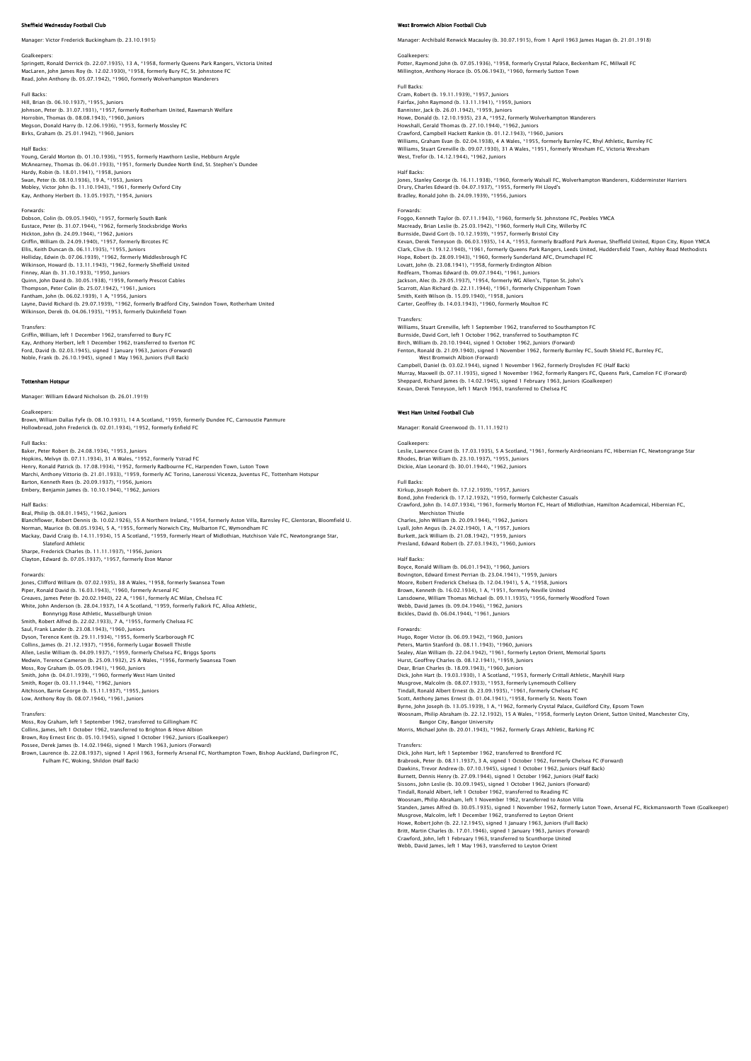## esday Football Club

### Manager: Victor Frederick Buckingham (b. 23.10.1915)

Goalkeepers: Springett, Ronald Derrick (b. 22.07.1935), 13 A, \*1958, formerly Queens Park Rangers, Victoria United MacLaren, John James Roy (b. 12.02.1930), \*1958, formerly Bury FC, St. Johnstone FC Read, John Anthony (b. 05.07.1942), \*1960, formerly Wolverhampton Wanderers

Full Backs:

Hill, Brian (b. 06.10.1937), \*1955, Juniors Johnson, Peter (b. 31.07.1931), \*1957, formerly Rotherham United, Rawmarsh Welfare Horrobin, Thomas (b. 08.08.1943), \*1960, Juniors Megson, Donald Harry (b. 12.06.1936), \*1953, formerly Mossley FC Birks, Graham (b. 25.01.1942), \*1960, Juniors

## Half Backs:

Young, Gerald Morton (b. 01.10.1936), \*1955, formerly Hawthorn Leslie, Hebburn Argyle McAnearney, Thomas (b. 06.01.1933), \*1951, formerly Dundee North End, St. Stephen's Dundee Hardy, Robin (b. 18.01.1941), \*1958, Juniors Swan, Peter (b. 08.10.1936), 19 A, \*1953, Juniors Mobley, Victor John (b. 11.10.1943), \*1961, formerly Oxford City Kay, Anthony Herbert (b. 13.05.1937), \*1954, Juniors

### Forwards:

Dobson, Colin (b. 09.05.1940), \*1957, formerly South Bank Eustace, Peter (b. 31.07.1944), \*1962, formerly Stocksbridge Works Hickton, John (b. 24.09.1944), \*1962, Juniors Griffin, William (b. 24.09.1940), \*1957, formerly Bircotes FC Ellis, Keith Duncan (b. 06.11.1935), \*1955, Juniors Holliday, Edwin (b. 07.06.1939), \*1962, formerly Middlesbrough FC Wilkinson, Howard (b. 13.11.1943), \*1962, formerly Sheffield United Finney, Alan (b. 31.10.1933), \*1950, Juniors Quinn, John David (b. 30.05.1938), \*1959, formerly Prescot Cables Thompson, Peter Colin (b. 25.07.1942), \*1961, Juniors Fantham, John (b. 06.02.1939), 1 A, \*1956, Juniors Layne, David Richard (b. 29.07.1939), \*1962, formerly Bradford City, Swindon Town, Rotherham United Wilkinson, Derek (b. 04.06.1935), \*1953, formerly Dukinfield Town

### Transfers:

Griffin, William, left 1 December 1962, transferred to Bury FC Kay, Anthony Herbert, left 1 December 1962, transferred to Everton FC Ford, David (b. 02.03.1945), signed 1 January 1963, Juniors (Forward) Noble, Frank (b. 26.10.1945), signed 1 May 1963, Juniors (Full Back)

### Tottenham Hotspur

Manager: William Edward Nicholson (b. 26.01.1919)

## Goalkeepers:

Brown, William Dallas Fyfe (b. 08.10.1931), 14 A Scotland, \*1959, formerly Dundee FC, Carnoustie Panmure<br>Hollowbread, John Frederick (b. 02.01.1934), \*1952, formerly Enfield FC

## Full Backs:

Baker, Peter Robert (b. 24.08.1934), \*1953, Juniors Hopkins, Melvyn (b. 07.11.1934), 31 A Wales, \*1952, formerly Ystrad FC<br>Henry, Ronald Patrick (b. 17.08.1934), \*1952, formerly Radbourne FC, Harpenden Town, Luton Town<br>Marchi, Anthony Vittorio (b. 21.01.1933), \*1956, former

Half Backs:<br>Beal, Philip (b. 08.01.1945), \*1962, Juniors<br>Blanchflower, Robert Dennis (b. 10.02.1926), 55 A Northern Ireland, \*1954, formerly Aston Villa, Barnsley FC, Glentoran, Bloomfield U.<br>Blanchflower, Robert Dennis (b Mackay, David Craig (b. 14.11.1934), 15 A Scotland, \*1959, formerly Heart of Midlothian, Hutchison Vale FC, Newtongrange Star,<br>Slateford Athletic<br>Sharpe, Frederick Charles (b. 11.11.1937), \*1956, Juniors<br>Clayton, Edward (b

### Forwards:

Jones, Clifford William (b. 07.02.1935), 38 A Wales, \*1958, formerly Swansea Town<br>Piper, Ronald David (b. 16.03.1943), \*1960, formerly Arsenal FC Milan, Chelsea FC<br>Greaves, James Peter (b. 20.02.1940), 22 A, \*1961, formerl

Bonnyrigg Rose Athletic, Musselburgh Union<br>Smith, Robert Alfred (b. 22.02.1933), 7 A, \*1955, formerly Chelsea FC<br>Saul, Frank Lander (b. 23.08.1943), \*1960, Juniors<br>Dyson, Terence Kent (b. 23.01.1937), \*1955, formerly Luqar Allen, Leslie William (b. 04.09.1937), \*1959, formerly Chelsea FC, Briggs Sports<br>Medwin, Terence Cameron (b. 25.09.1932), 25 A Wales, \*1956, formerly Swansea Town<br>Moss, Roy Graham (b. 05.09.1941), \*1960, Juniors<br>Smith, Roq Aitchison, Barrie George (b. 15.11.1937), \*1955, Juniors Low, Anthony Roy (b. 08.07.1944), \*1961, Juniors

Transfers: Moss, Roy Graham, left 1 September 1962, transferred to Gillingham FC Collins, James, left 1 October 1962, transferred to Brighton & Hove Albion<br>Brown, Roy Ernest Eric (b. 05.10.1945), signed 1 October 1962, Juniors (Goalkeeper)<br>Possee, Derek James (b. 14.02.1946), signed 1 March 1963, Junio

## wich Albion Football Club

Manager: Archibald Renwick Macauley (b. 30.07.1915), from 1 April 1963 James Hagan (b. 21.01.1918)

Goalkeepers: Potter, Raymond John (b. 07.05.1936), \*1958, formerly Crystal Palace, Beckenham FC, Millwall FC Millington, Anthony Horace (b. 05.06.1943), \*1960, formerly Sutton Town

# Full Backs:

Cram, Robert (b. 19.11.1939), \*1957, Juniors Fairfax, John Raymond (b. 13.11.1941), \*1959, Juniors Bannister, Jack (b. 26.01.1942), \*1959, Juniors Howe, Donald (b. 12.10.1935), 23 A, \*1952, formerly Wolverhampton Wanderers Howshall, Gerald Thomas (b. 27.10.1944), \*1962, Juniors<br>Crawford, Campbell Hackett Rankin (b. 01.12.1943), \*1960, Juniors<br>Williams, Graham Evan (b. 02.04.1938), 4 A Wales, \*1955, formerly Burnley FC, Rhyl Athletic, Burnley

## Half Backs:

Jones, Stanley George (b. 16.11.1938), \*1960, formerly Walsall FC, Wolverhampton Wanderers, Kidderminster Harriers<br>Drury, Charles Edward (b. 04.07.1937), \*1955, formerly FH Lloyd's<br>Bradley, Ronald John (b. 24.09.1939), \*19

### Forwards:

Foggo, Kenneth Taylor (b. 07.11.1943), \*1960, formerly St. Johnstone FC, Peebles YMCA Macready, Brian Leslie (b. 25.03.1942), \*1960, formerly Hull City, Willerby FC<br>Burnside, David Gort (b. 10.12.1939), \*1957, formerly Bristol City<br>Kevan, Derek Tennyson (b. 06.03.1935), 14 A, \*1953, formerly Bradford Park A Clark, Clive (b. 19.12.1940), \*1961, formerly Queens Park Rangers, Leeds United, Huddersfield Town, Ashley Road Methodists<br>Hope, Robert (b. 28.09.1943), \*1960, formerly Sunderland AFC, Drumchapel FC Lovatt, John (b. 23.08.1941), \*1958, formerly Erdington Albion<br>Redfearn, Thomas Edward (b. 09.07.1944), \*1961, Juniors<br>Jackson, Alec (b. 29.05.1937), \*1954, formerly WG Allen's, Tipton St. John's<br>Scartott, Alan Richard (b. Carter, Geoffrey (b. 14.03.1943), \*1960, formerly Moulton FC

### **Transfers**

Williams, Stuart Grenville, left 1 September 1962, transferred to Southampton FC Burnside, David Gort, left 1 October 1962, transferred to Southampton FC<br>Birch, William (b. 20.10.1944), signed 1 October 1962, Juniors (Forward)<br>Fenton, Ronald (b. 21.09.1940), signed 1 November 1962, formerly Burnley FC, Murray, Maxwell (b. 07.11.1935), signed 1 November 1962, formerly Rangers FC, Queens Park, Camelon FC (Forward)<br>Sheppard, Richard James (b. 14.02.1945), signed 1 February 1963, Juniors (Goalkeeper)<br>Kevan, Derek Tennyson, l

### West Ham United Football Club

Manager: Ronald Greenwood (b. 11.11.1921)

### Goalkeepers:

Leslie, Lawrence Grant (b. 17.03.1935), 5 A Scotland, \*1961, formerly Airdrieonians FC, Hibernian FC, Newtongrange Star Rhodes, Brian William (b. 23.10.1937), \*1955, Juniors Dickie, Alan Leonard (b. 30.01.1944), \*1962, Juniors

## Full Backs:

Kirkup, Joseph Robert (b. 17.12.1939), \*1957, Juniors Bond, John Frederick (b. 17.12.1932), \*1950, formerly Colchester Casuals<br>Crawford, John (b. 14.07.1934), \*1961, formerly Morton FC, Heart of Midlothian, Hamilton Academical, Hibernian FC<br>Merchiston Thistle<br>Charles, John Wi

Lyall, John Angus (b. 24.02.1940), 1 A, \*1957, Juniors Burkett, Jack William (b. 21.08.1942), \*1959, Juniors Presland, Edward Robert (b. 27.03.1943), \*1960, Juniors

## Half Backs:

Boyce, Ronald William (b. 06.01.1943), \*1960, Juniors Bovington, Edward Ernest Perrian (b. 23.04.1941), \*1959, Juniors<br>Moore, Robert Frederick Chelsea (b. 12.04.1941), 5 A, \*1958, Juniors<br>Brown, Kenneth (b. 16.02.1934), 1 A, \*1951, formerly Neville United<br>Lansdowne, William T Bickles, David (b. 06.04.1944), \*1961, Juniors

Forwards: Hugo, Roger Victor (b. 06.09.1942), \*1960, Juniors Peters, Martin Stanford (b. 08.11.1943), \*1960, Juniors Sealey, Alan William (b. 22.04.1942), \*1961, formerly Leyton Orient, Memorial Sports Hurst, Geoffrey Charles (b. 08.12.1941), \*1959, Juniors<br>Dear, Brian Charles (b. 18.09.1943), \*1960, Juniors<br>Dick, John Hart (b. 19.03.1930), 1 A Scotland, \*1953, formerly Crittall Athletic, Maryhill Harp<br>Musqrove, Malcolm Tindall, Ronald Albert Ernest (b. 23.09.1935), \*1961, formerly Chelsea FC Scott, Anthony James Ernest (b. 01.04.1941), \*1958, formerly St. Neots Town<br>Byrne, John Joseph (b. 13.05.1939), 1 A, \*1962, formerly Crystal Palace, Guildford City, Epsom Town<br>Woosnam, Philip Abraham (b. 22.12.1932), 15 A Transfers: Dick, John Hart, left 1 September 1962, transferred to Brentford FC Brabrook, Peter (b. 08.11.1937), 3 A, signed 1 October 1962, formerly Chelsea FC (Forward) Dawkins, Trevor Andrew (b. 07.10.1945), signed 1 October 1962, Juniors (Half Back) Burnett, Dennis Henry (b. 27.09.1944), signed 1 October 1962, Juniors (Half Back)<br>Sissons, John Leslie (b. 30.09.1945), signed 1 October 1962, Juniors (Forward)<br>Tindall, Ronald Albert, left 1 October 1962, transferred to R

Musgrove, Malcolm, left 1 December 1962, transferred to Leyton Orient<br>Howe, Robert John (b. 22.12.1945), signed 1 January 1963, Juniors (Full Back)<br>Britt, Martin Charles (b. 17.01.1946), signed 1 January 1963, Juniors (For